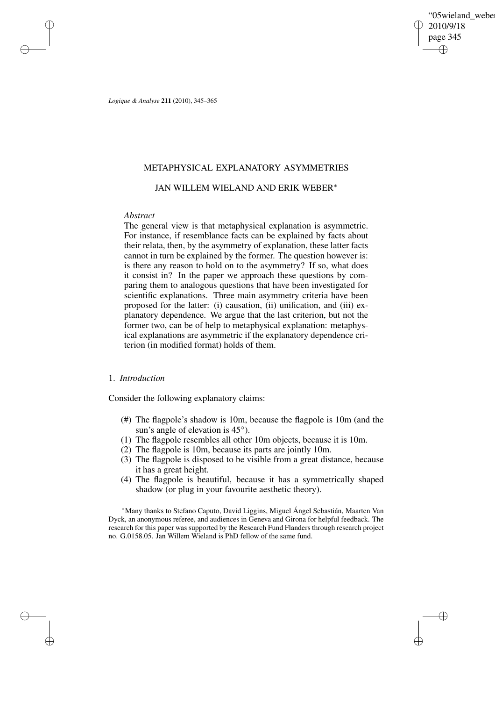'05wieland\_weber 2010/9/18 page 345 ✐ ✐

✐

✐

*Logique & Analyse* **211** (2010), 345–365

## METAPHYSICAL EXPLANATORY ASYMMETRIES

## JAN WILLEM WIELAND AND ERIK WEBER<sup>∗</sup>

### *Abstract*

✐

✐

✐

✐

The general view is that metaphysical explanation is asymmetric. For instance, if resemblance facts can be explained by facts about their relata, then, by the asymmetry of explanation, these latter facts cannot in turn be explained by the former. The question however is: is there any reason to hold on to the asymmetry? If so, what does it consist in? In the paper we approach these questions by comparing them to analogous questions that have been investigated for scientific explanations. Three main asymmetry criteria have been proposed for the latter: (i) causation, (ii) unification, and (iii) explanatory dependence. We argue that the last criterion, but not the former two, can be of help to metaphysical explanation: metaphysical explanations are asymmetric if the explanatory dependence criterion (in modified format) holds of them.

## 1. *Introduction*

Consider the following explanatory claims:

- (#) The flagpole's shadow is 10m, because the flagpole is 10m (and the sun's angle of elevation is 45<sup>°</sup>).
- (1) The flagpole resembles all other 10m objects, because it is 10m.
- (2) The flagpole is 10m, because its parts are jointly 10m.
- (3) The flagpole is disposed to be visible from a great distance, because it has a great height.
- (4) The flagpole is beautiful, because it has a symmetrically shaped shadow (or plug in your favourite aesthetic theory).

<sup>∗</sup>Many thanks to Stefano Caputo, David Liggins, Miguel Ángel Sebastián, Maarten Van Dyck, an anonymous referee, and audiences in Geneva and Girona for helpful feedback. The research for this paper was supported by the Research Fund Flanders through research project no. G.0158.05. Jan Willem Wieland is PhD fellow of the same fund.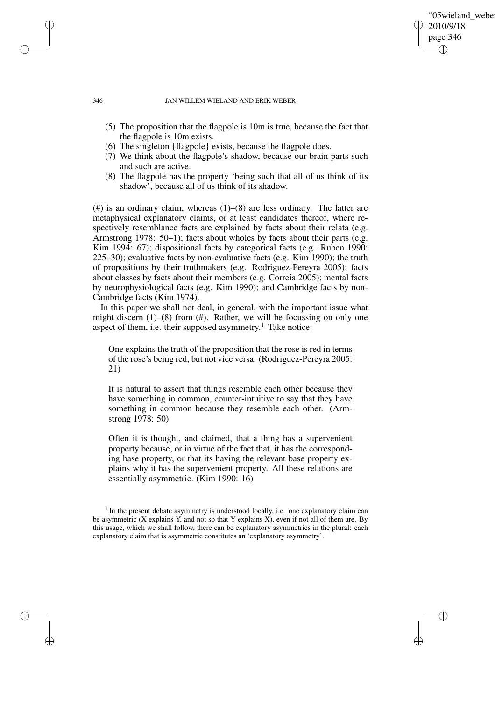✐

#### 346 JAN WILLEM WIELAND AND ERIK WEBER

- (5) The proposition that the flagpole is 10m is true, because the fact that the flagpole is 10m exists.
- (6) The singleton {flagpole} exists, because the flagpole does.
- (7) We think about the flagpole's shadow, because our brain parts such and such are active.
- (8) The flagpole has the property 'being such that all of us think of its shadow', because all of us think of its shadow.

(#) is an ordinary claim, whereas (1)–(8) are less ordinary. The latter are metaphysical explanatory claims, or at least candidates thereof, where respectively resemblance facts are explained by facts about their relata (e.g. Armstrong 1978: 50–1); facts about wholes by facts about their parts (e.g. Kim 1994: 67); dispositional facts by categorical facts (e.g. Ruben 1990: 225–30); evaluative facts by non-evaluative facts (e.g. Kim 1990); the truth of propositions by their truthmakers (e.g. Rodriguez-Pereyra 2005); facts about classes by facts about their members (e.g. Correia 2005); mental facts by neurophysiological facts (e.g. Kim 1990); and Cambridge facts by non-Cambridge facts (Kim 1974).

In this paper we shall not deal, in general, with the important issue what might discern  $(1)$ – $(8)$  from  $(#)$ . Rather, we will be focussing on only one aspect of them, i.e. their supposed asymmetry.<sup>1</sup> Take notice:

One explains the truth of the proposition that the rose is red in terms of the rose's being red, but not vice versa. (Rodriguez-Pereyra 2005: 21)

It is natural to assert that things resemble each other because they have something in common, counter-intuitive to say that they have something in common because they resemble each other. (Armstrong 1978: 50)

Often it is thought, and claimed, that a thing has a supervenient property because, or in virtue of the fact that, it has the corresponding base property, or that its having the relevant base property explains why it has the supervenient property. All these relations are essentially asymmetric. (Kim 1990: 16)

✐

✐

✐

<sup>&</sup>lt;sup>1</sup> In the present debate asymmetry is understood locally, i.e. one explanatory claim can be asymmetric  $(X \in \mathbb{R})$  and not so that Y explains X), even if not all of them are. By this usage, which we shall follow, there can be explanatory asymmetries in the plural: each explanatory claim that is asymmetric constitutes an 'explanatory asymmetry'.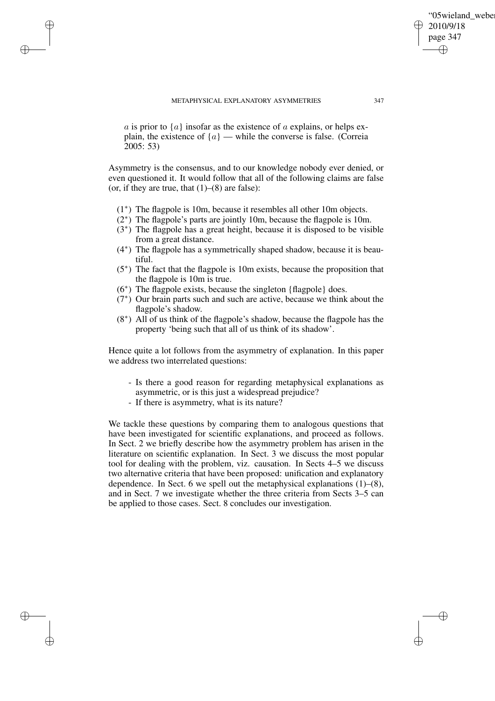✐

✐

✐

METAPHYSICAL EXPLANATORY ASYMMETRIES 347

'05wieland\_weber

2010/9/18 page 347

✐

✐

✐

✐

a is prior to  $\{a\}$  insofar as the existence of a explains, or helps explain, the existence of  $\{a\}$  — while the converse is false. (Correia 2005: 53)

Asymmetry is the consensus, and to our knowledge nobody ever denied, or even questioned it. It would follow that all of the following claims are false (or, if they are true, that  $(1)$ – $(8)$  are false):

- (1∗ ) The flagpole is 10m, because it resembles all other 10m objects.
- (2∗ ) The flagpole's parts are jointly 10m, because the flagpole is 10m.
- (3∗ ) The flagpole has a great height, because it is disposed to be visible from a great distance.
- (4∗ ) The flagpole has a symmetrically shaped shadow, because it is beautiful.
- (5∗ ) The fact that the flagpole is 10m exists, because the proposition that the flagpole is 10m is true.
- (6∗ ) The flagpole exists, because the singleton {flagpole} does.
- (7∗ ) Our brain parts such and such are active, because we think about the flagpole's shadow.
- (8∗ ) All of us think of the flagpole's shadow, because the flagpole has the property 'being such that all of us think of its shadow'.

Hence quite a lot follows from the asymmetry of explanation. In this paper we address two interrelated questions:

- Is there a good reason for regarding metaphysical explanations as asymmetric, or is this just a widespread prejudice?
- If there is asymmetry, what is its nature?

We tackle these questions by comparing them to analogous questions that have been investigated for scientific explanations, and proceed as follows. In Sect. 2 we briefly describe how the asymmetry problem has arisen in the literature on scientific explanation. In Sect. 3 we discuss the most popular tool for dealing with the problem, viz. causation. In Sects 4–5 we discuss two alternative criteria that have been proposed: unification and explanatory dependence. In Sect. 6 we spell out the metaphysical explanations (1)–(8), and in Sect. 7 we investigate whether the three criteria from Sects 3–5 can be applied to those cases. Sect. 8 concludes our investigation.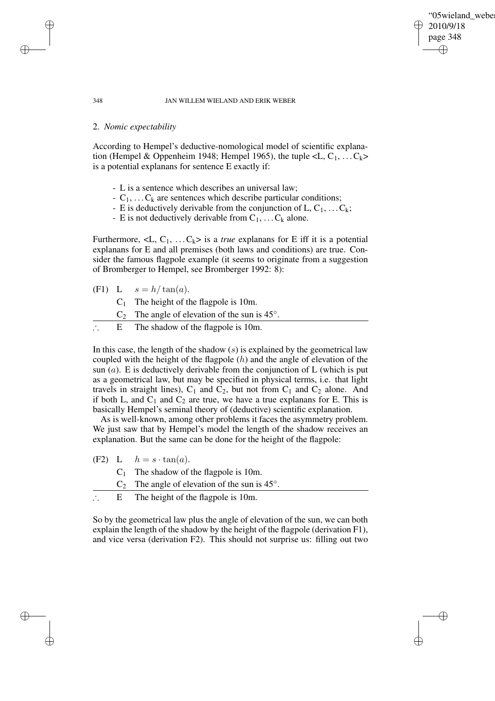'05wieland weber 2010/9/18 page 348 ✐ ✐

✐

✐

#### 348 JAN WILLEM WIELAND AND ERIK WEBER

### 2. *Nomic expectability*

✐

✐

✐

✐

According to Hempel's deductive-nomological model of scientific explanation (Hempel & Oppenheim 1948; Hempel 1965), the tuple  $\langle L, C_1, \ldots C_k \rangle$ is a potential explanans for sentence E exactly if:

- L is a sentence which describes an universal law;
- $-C_1, \ldots, C_k$  are sentences which describe particular conditions;
- E is deductively derivable from the conjunction of  $L, C_1, \ldots C_k$ ;
- E is not deductively derivable from  $C_1, \ldots, C_k$  alone.

Furthermore,  $\langle L, C_1, \ldots C_k \rangle$  is a *true* explanans for E iff it is a potential explanans for E and all premises (both laws and conditions) are true. Consider the famous flagpole example (it seems to originate from a suggestion of Bromberger to Hempel, see Bromberger 1992: 8):

|    | (F1) L $s = h/\tan(a)$ .                        |
|----|-------------------------------------------------|
|    | $C_1$ The height of the flagpole is 10m.        |
|    | $C_2$ The angle of elevation of the sun is 45°. |
| Н. | The shadow of the flagpole is 10m.              |

In this case, the length of the shadow  $(s)$  is explained by the geometrical law coupled with the height of the flagpole  $(h)$  and the angle of elevation of the sun  $(a)$ . E is deductively derivable from the conjunction of L (which is put as a geometrical law, but may be specified in physical terms, i.e. that light travels in straight lines),  $C_1$  and  $C_2$ , but not from  $C_1$  and  $C_2$  alone. And if both L, and  $C_1$  and  $C_2$  are true, we have a true explanans for E. This is basically Hempel's seminal theory of (deductive) scientific explanation.

As is well-known, among other problems it faces the asymmetry problem. We just saw that by Hempel's model the length of the shadow receives an explanation. But the same can be done for the height of the flagpole:

- $(F2) L$   $h = s \cdot \tan(a)$ .
	- $C_1$  The shadow of the flagpole is 10m.
	- $C_2$  The angle of elevation of the sun is 45°.

E The height of the flagpole is 10m.

So by the geometrical law plus the angle of elevation of the sun, we can both explain the length of the shadow by the height of the flagpole (derivation F1), and vice versa (derivation F2). This should not surprise us: filling out two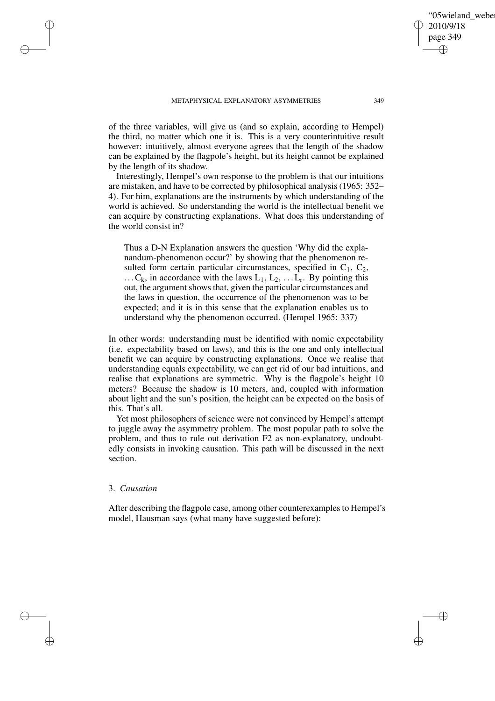#### METAPHYSICAL EXPLANATORY ASYMMETRIES 349

of the three variables, will give us (and so explain, according to Hempel) the third, no matter which one it is. This is a very counterintuitive result however: intuitively, almost everyone agrees that the length of the shadow can be explained by the flagpole's height, but its height cannot be explained by the length of its shadow.

Interestingly, Hempel's own response to the problem is that our intuitions are mistaken, and have to be corrected by philosophical analysis (1965: 352– 4). For him, explanations are the instruments by which understanding of the world is achieved. So understanding the world is the intellectual benefit we can acquire by constructing explanations. What does this understanding of the world consist in?

Thus a D-N Explanation answers the question 'Why did the explanandum-phenomenon occur?' by showing that the phenomenon resulted form certain particular circumstances, specified in  $C_1$ ,  $C_2$ ,  $\ldots$  C<sub>k</sub>, in accordance with the laws L<sub>1</sub>, L<sub>2</sub>,  $\ldots$  L<sub>r</sub>. By pointing this out, the argument shows that, given the particular circumstances and the laws in question, the occurrence of the phenomenon was to be expected; and it is in this sense that the explanation enables us to understand why the phenomenon occurred. (Hempel 1965: 337)

In other words: understanding must be identified with nomic expectability (i.e. expectability based on laws), and this is the one and only intellectual benefit we can acquire by constructing explanations. Once we realise that understanding equals expectability, we can get rid of our bad intuitions, and realise that explanations are symmetric. Why is the flagpole's height 10 meters? Because the shadow is 10 meters, and, coupled with information about light and the sun's position, the height can be expected on the basis of this. That's all.

Yet most philosophers of science were not convinced by Hempel's attempt to juggle away the asymmetry problem. The most popular path to solve the problem, and thus to rule out derivation F2 as non-explanatory, undoubtedly consists in invoking causation. This path will be discussed in the next section.

### 3. *Causation*

✐

✐

✐

✐

After describing the flagpole case, among other counterexamples to Hempel's model, Hausman says (what many have suggested before):

✐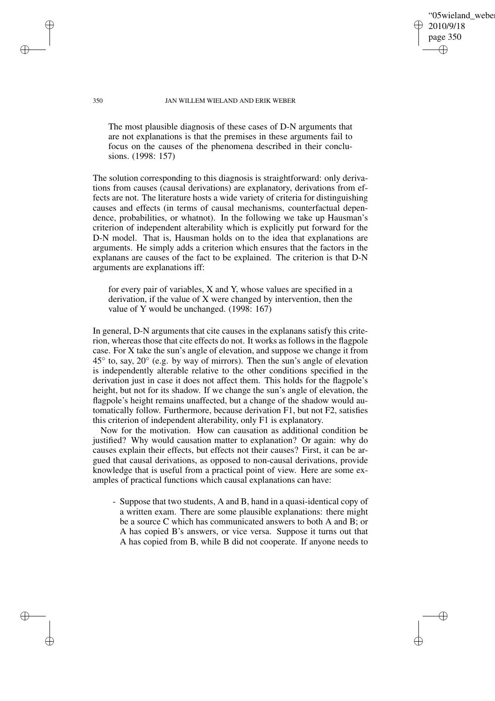05wieland weber 2010/9/18 page 350 ✐ ✐

✐

✐

350 JAN WILLEM WIELAND AND ERIK WEBER

The most plausible diagnosis of these cases of D-N arguments that are not explanations is that the premises in these arguments fail to focus on the causes of the phenomena described in their conclusions. (1998: 157)

The solution corresponding to this diagnosis is straightforward: only derivations from causes (causal derivations) are explanatory, derivations from effects are not. The literature hosts a wide variety of criteria for distinguishing causes and effects (in terms of causal mechanisms, counterfactual dependence, probabilities, or whatnot). In the following we take up Hausman's criterion of independent alterability which is explicitly put forward for the D-N model. That is, Hausman holds on to the idea that explanations are arguments. He simply adds a criterion which ensures that the factors in the explanans are causes of the fact to be explained. The criterion is that D-N arguments are explanations iff:

for every pair of variables, X and Y, whose values are specified in a derivation, if the value of X were changed by intervention, then the value of Y would be unchanged. (1998: 167)

In general, D-N arguments that cite causes in the explanans satisfy this criterion, whereas those that cite effects do not. It works as follows in the flagpole case. For X take the sun's angle of elevation, and suppose we change it from  $45^\circ$  to, say,  $20^\circ$  (e.g. by way of mirrors). Then the sun's angle of elevation is independently alterable relative to the other conditions specified in the derivation just in case it does not affect them. This holds for the flagpole's height, but not for its shadow. If we change the sun's angle of elevation, the flagpole's height remains unaffected, but a change of the shadow would automatically follow. Furthermore, because derivation F1, but not F2, satisfies this criterion of independent alterability, only F1 is explanatory.

Now for the motivation. How can causation as additional condition be justified? Why would causation matter to explanation? Or again: why do causes explain their effects, but effects not their causes? First, it can be argued that causal derivations, as opposed to non-causal derivations, provide knowledge that is useful from a practical point of view. Here are some examples of practical functions which causal explanations can have:

- Suppose that two students, A and B, hand in a quasi-identical copy of a written exam. There are some plausible explanations: there might be a source C which has communicated answers to both A and B; or A has copied B's answers, or vice versa. Suppose it turns out that A has copied from B, while B did not cooperate. If anyone needs to

✐

✐

✐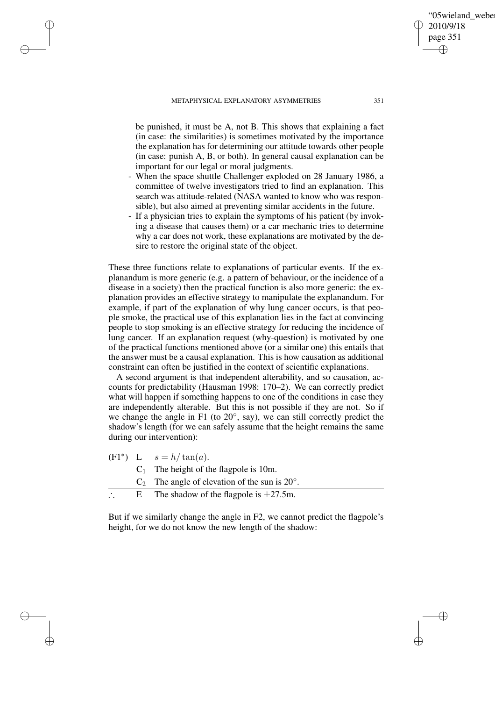#### METAPHYSICAL EXPLANATORY ASYMMETRIES 351

✐

✐

✐

✐

be punished, it must be A, not B. This shows that explaining a fact (in case: the similarities) is sometimes motivated by the importance the explanation has for determining our attitude towards other people (in case: punish A, B, or both). In general causal explanation can be important for our legal or moral judgments.

- When the space shuttle Challenger exploded on 28 January 1986, a committee of twelve investigators tried to find an explanation. This search was attitude-related (NASA wanted to know who was responsible), but also aimed at preventing similar accidents in the future.
- If a physician tries to explain the symptoms of his patient (by invoking a disease that causes them) or a car mechanic tries to determine why a car does not work, these explanations are motivated by the desire to restore the original state of the object.

These three functions relate to explanations of particular events. If the explanandum is more generic (e.g. a pattern of behaviour, or the incidence of a disease in a society) then the practical function is also more generic: the explanation provides an effective strategy to manipulate the explanandum. For example, if part of the explanation of why lung cancer occurs, is that people smoke, the practical use of this explanation lies in the fact at convincing people to stop smoking is an effective strategy for reducing the incidence of lung cancer. If an explanation request (why-question) is motivated by one of the practical functions mentioned above (or a similar one) this entails that the answer must be a causal explanation. This is how causation as additional constraint can often be justified in the context of scientific explanations.

A second argument is that independent alterability, and so causation, accounts for predictability (Hausman 1998: 170–2). We can correctly predict what will happen if something happens to one of the conditions in case they are independently alterable. But this is not possible if they are not. So if we change the angle in F1 (to 20°, say), we can still correctly predict the shadow's length (for we can safely assume that the height remains the same during our intervention):

(F1<sup>\*</sup>) L  $s = h/\tan(a)$ .  $C_1$  The height of the flagpole is 10m.  $C_2$  The angle of elevation of the sun is 20 $^{\circ}$ . E The shadow of the flagpole is  $\pm 27.5$ m.

But if we similarly change the angle in F2, we cannot predict the flagpole's height, for we do not know the new length of the shadow:

'05wieland weber

2010/9/18 page 351

✐

✐

✐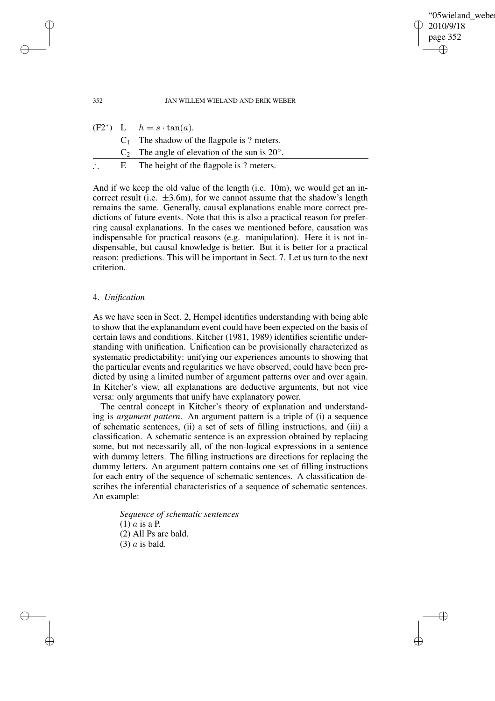✐

352 JAN WILLEM WIELAND AND ERIK WEBER

|    | $(F2^*)$ L $h = s \cdot \tan(a)$ .              |
|----|-------------------------------------------------|
|    | $C_1$ The shadow of the flagpole is ? meters.   |
|    | $C_2$ The angle of elevation of the sun is 20°. |
| Е. | The height of the flagpole is ? meters.         |

And if we keep the old value of the length (i.e. 10m), we would get an incorrect result (i.e.  $\pm 3.6$ m), for we cannot assume that the shadow's length remains the same. Generally, causal explanations enable more correct predictions of future events. Note that this is also a practical reason for preferring causal explanations. In the cases we mentioned before, causation was indispensable for practical reasons (e.g. manipulation). Here it is not indispensable, but causal knowledge is better. But it is better for a practical reason: predictions. This will be important in Sect. 7. Let us turn to the next criterion.

### 4. *Unification*

As we have seen in Sect. 2, Hempel identifies understanding with being able to show that the explanandum event could have been expected on the basis of certain laws and conditions. Kitcher (1981, 1989) identifies scientific understanding with unification. Unification can be provisionally characterized as systematic predictability: unifying our experiences amounts to showing that the particular events and regularities we have observed, could have been predicted by using a limited number of argument patterns over and over again. In Kitcher's view, all explanations are deductive arguments, but not vice versa: only arguments that unify have explanatory power.

The central concept in Kitcher's theory of explanation and understanding is *argument pattern*. An argument pattern is a triple of (i) a sequence of schematic sentences, (ii) a set of sets of filling instructions, and (iii) a classification. A schematic sentence is an expression obtained by replacing some, but not necessarily all, of the non-logical expressions in a sentence with dummy letters. The filling instructions are directions for replacing the dummy letters. An argument pattern contains one set of filling instructions for each entry of the sequence of schematic sentences. A classification describes the inferential characteristics of a sequence of schematic sentences. An example:

*Sequence of schematic sentences*  $(1)$  a is a P. (2) All Ps are bald.  $(3)$  a is bald.

✐

✐

✐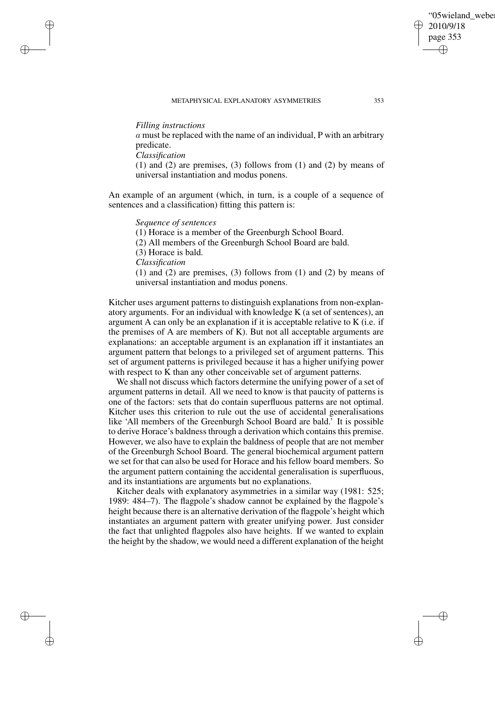#### METAPHYSICAL EXPLANATORY ASYMMETRIES 353

*Filling instructions*

a must be replaced with the name of an individual, P with an arbitrary predicate.

*Classification*

✐

✐

✐

✐

(1) and (2) are premises, (3) follows from (1) and (2) by means of universal instantiation and modus ponens.

An example of an argument (which, in turn, is a couple of a sequence of sentences and a classification) fitting this pattern is:

*Sequence of sentences* (1) Horace is a member of the Greenburgh School Board.

(2) All members of the Greenburgh School Board are bald.

(3) Horace is bald.

*Classification*

(1) and (2) are premises, (3) follows from (1) and (2) by means of universal instantiation and modus ponens.

Kitcher uses argument patterns to distinguish explanations from non-explanatory arguments. For an individual with knowledge K (a set of sentences), an argument A can only be an explanation if it is acceptable relative to K (i.e. if the premises of A are members of K). But not all acceptable arguments are explanations: an acceptable argument is an explanation iff it instantiates an argument pattern that belongs to a privileged set of argument patterns. This set of argument patterns is privileged because it has a higher unifying power with respect to K than any other conceivable set of argument patterns.

We shall not discuss which factors determine the unifying power of a set of argument patterns in detail. All we need to know is that paucity of patterns is one of the factors: sets that do contain superfluous patterns are not optimal. Kitcher uses this criterion to rule out the use of accidental generalisations like 'All members of the Greenburgh School Board are bald.' It is possible to derive Horace's baldness through a derivation which contains this premise. However, we also have to explain the baldness of people that are not member of the Greenburgh School Board. The general biochemical argument pattern we set for that can also be used for Horace and his fellow board members. So the argument pattern containing the accidental generalisation is superfluous, and its instantiations are arguments but no explanations.

Kitcher deals with explanatory asymmetries in a similar way (1981: 525; 1989: 484–7). The flagpole's shadow cannot be explained by the flagpole's height because there is an alternative derivation of the flagpole's height which instantiates an argument pattern with greater unifying power. Just consider the fact that unlighted flagpoles also have heights. If we wanted to explain the height by the shadow, we would need a different explanation of the height

'05wieland weber

2010/9/18 page 353

✐

✐

✐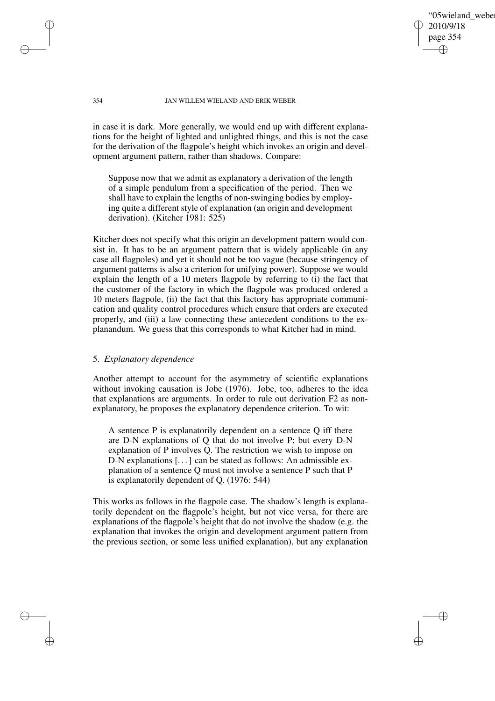05wieland weber 2010/9/18 page 354 ✐ ✐

✐

✐

#### 354 JAN WILLEM WIELAND AND ERIK WEBER

in case it is dark. More generally, we would end up with different explanations for the height of lighted and unlighted things, and this is not the case for the derivation of the flagpole's height which invokes an origin and development argument pattern, rather than shadows. Compare:

Suppose now that we admit as explanatory a derivation of the length of a simple pendulum from a specification of the period. Then we shall have to explain the lengths of non-swinging bodies by employing quite a different style of explanation (an origin and development derivation). (Kitcher 1981: 525)

Kitcher does not specify what this origin an development pattern would consist in. It has to be an argument pattern that is widely applicable (in any case all flagpoles) and yet it should not be too vague (because stringency of argument patterns is also a criterion for unifying power). Suppose we would explain the length of a 10 meters flagpole by referring to (i) the fact that the customer of the factory in which the flagpole was produced ordered a 10 meters flagpole, (ii) the fact that this factory has appropriate communication and quality control procedures which ensure that orders are executed properly, and (iii) a law connecting these antecedent conditions to the explanandum. We guess that this corresponds to what Kitcher had in mind.

## 5. *Explanatory dependence*

✐

✐

✐

✐

Another attempt to account for the asymmetry of scientific explanations without invoking causation is Jobe (1976). Jobe, too, adheres to the idea that explanations are arguments. In order to rule out derivation F2 as nonexplanatory, he proposes the explanatory dependence criterion. To wit:

A sentence P is explanatorily dependent on a sentence Q iff there are D-N explanations of Q that do not involve P; but every D-N explanation of P involves Q. The restriction we wish to impose on D-N explanations [. . .] can be stated as follows: An admissible explanation of a sentence Q must not involve a sentence P such that P is explanatorily dependent of Q. (1976: 544)

This works as follows in the flagpole case. The shadow's length is explanatorily dependent on the flagpole's height, but not vice versa, for there are explanations of the flagpole's height that do not involve the shadow (e.g. the explanation that invokes the origin and development argument pattern from the previous section, or some less unified explanation), but any explanation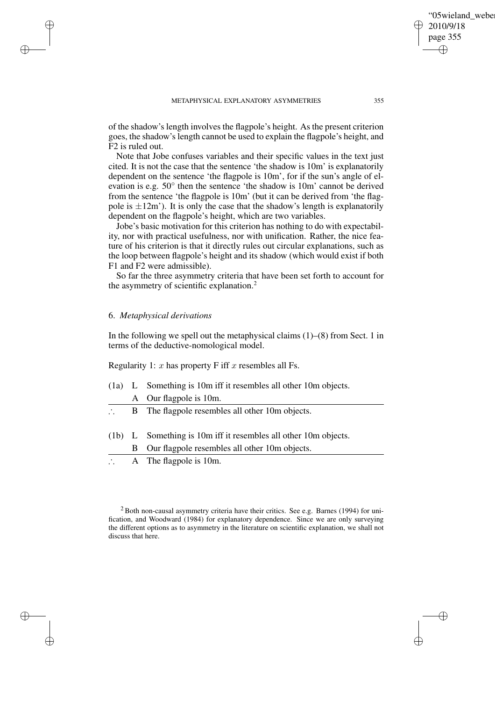#### METAPHYSICAL EXPLANATORY ASYMMETRIES 355

of the shadow's length involves the flagpole's height. As the present criterion goes, the shadow's length cannot be used to explain the flagpole's height, and F2 is ruled out.

Note that Jobe confuses variables and their specific values in the text just cited. It is not the case that the sentence 'the shadow is 10m' is explanatorily dependent on the sentence 'the flagpole is 10m', for if the sun's angle of elevation is e.g. 50° then the sentence 'the shadow is 10m' cannot be derived from the sentence 'the flagpole is 10m' (but it can be derived from 'the flagpole is  $\pm 12$ m'). It is only the case that the shadow's length is explanatorily dependent on the flagpole's height, which are two variables.

Jobe's basic motivation for this criterion has nothing to do with expectability, nor with practical usefulness, nor with unification. Rather, the nice feature of his criterion is that it directly rules out circular explanations, such as the loop between flagpole's height and its shadow (which would exist if both F1 and F2 were admissible).

So far the three asymmetry criteria that have been set forth to account for the asymmetry of scientific explanation.<sup>2</sup>

## 6. *Metaphysical derivations*

✐

✐

✐

✐

In the following we spell out the metaphysical claims  $(1)$ – $(8)$  from Sect. 1 in terms of the deductive-nomological model.

Regularity 1:  $x$  has property F iff  $x$  resembles all Fs.

- (1a) L Something is 10m iff it resembles all other 10m objects. A Our flagpole is 10m.
- ∴ B The flagpole resembles all other 10m objects.
- (1b) L Something is 10m iff it resembles all other 10m objects.
	- B Our flagpole resembles all other 10m objects.
- ∴ A The flagpole is 10m.

 $2$  Both non-causal asymmetry criteria have their critics. See e.g. Barnes (1994) for unification, and Woodward (1984) for explanatory dependence. Since we are only surveying the different options as to asymmetry in the literature on scientific explanation, we shall not discuss that here.

'05wieland weber

2010/9/18 page 355

✐

✐

✐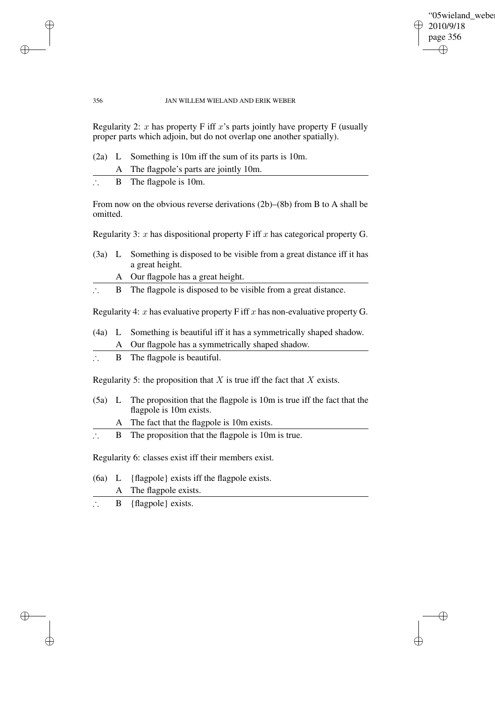✐

### 356 JAN WILLEM WIELAND AND ERIK WEBER

Regularity 2: x has property F iff x's parts jointly have property F (usually proper parts which adjoin, but do not overlap one another spatially).

- (2a) L Something is 10m iff the sum of its parts is 10m.
	- A The flagpole's parts are jointly 10m.
- ∴ B The flagpole is 10m.

✐

✐

✐

✐

From now on the obvious reverse derivations (2b)–(8b) from B to A shall be omitted.

Regularity 3: x has dispositional property F iff x has categorical property G.

- (3a) L Something is disposed to be visible from a great distance iff it has a great height.
	- A Our flagpole has a great height.
- ∴ B The flagpole is disposed to be visible from a great distance.

Regularity 4: x has evaluative property F iff x has non-evaluative property G.

- (4a) L Something is beautiful iff it has a symmetrically shaped shadow. A Our flagpole has a symmetrically shaped shadow.
- ∴ B The flagpole is beautiful.

Regularity 5: the proposition that  $X$  is true iff the fact that  $X$  exists.

- (5a) L The proposition that the flagpole is 10m is true iff the fact that the flagpole is 10m exists.
	- A The fact that the flagpole is 10m exists.
- ∴ B The proposition that the flagpole is 10m is true.

Regularity 6: classes exist iff their members exist.

- (6a) L {flagpole} exists iff the flagpole exists.
	- A The flagpole exists.

∴ B {flagpole} exists.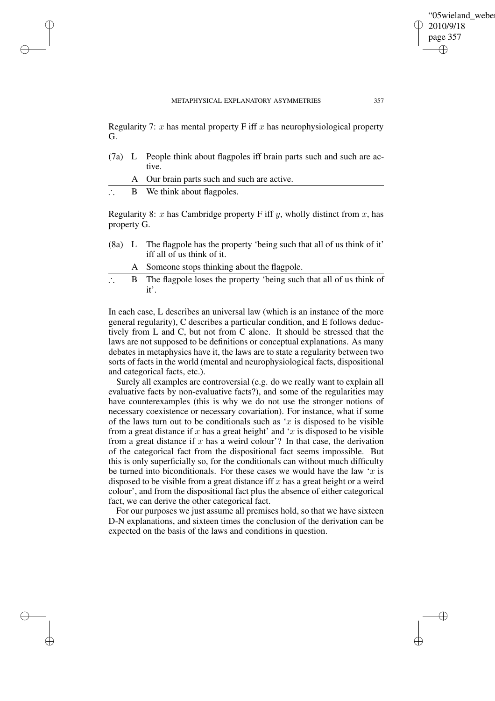✐

Regularity 7: x has mental property F iff x has neurophysiological property G.

(7a) L People think about flagpoles iff brain parts such and such are active.

Our brain parts such and such are active.

B We think about flagpoles.

✐

✐

✐

✐

Regularity 8: x has Cambridge property F iff y, wholly distinct from x, has property G.

- (8a) L The flagpole has the property 'being such that all of us think of it' iff all of us think of it.
	- A Someone stops thinking about the flagpole.
- ∴ B The flagpole loses the property 'being such that all of us think of it'.

In each case, L describes an universal law (which is an instance of the more general regularity), C describes a particular condition, and E follows deductively from L and C, but not from C alone. It should be stressed that the laws are not supposed to be definitions or conceptual explanations. As many debates in metaphysics have it, the laws are to state a regularity between two sorts of facts in the world (mental and neurophysiological facts, dispositional and categorical facts, etc.).

Surely all examples are controversial (e.g. do we really want to explain all evaluative facts by non-evaluative facts?), and some of the regularities may have counterexamples (this is why we do not use the stronger notions of necessary coexistence or necessary covariation). For instance, what if some of the laws turn out to be conditionals such as 'x is disposed to be visible from a great distance if x has a great height' and 'x is disposed to be visible from a great distance if  $x$  has a weird colour'? In that case, the derivation of the categorical fact from the dispositional fact seems impossible. But this is only superficially so, for the conditionals can without much difficulty be turned into biconditionals. For these cases we would have the law 'x is disposed to be visible from a great distance iff x has a great height or a weird colour', and from the dispositional fact plus the absence of either categorical fact, we can derive the other categorical fact.

For our purposes we just assume all premises hold, so that we have sixteen D-N explanations, and sixteen times the conclusion of the derivation can be expected on the basis of the laws and conditions in question.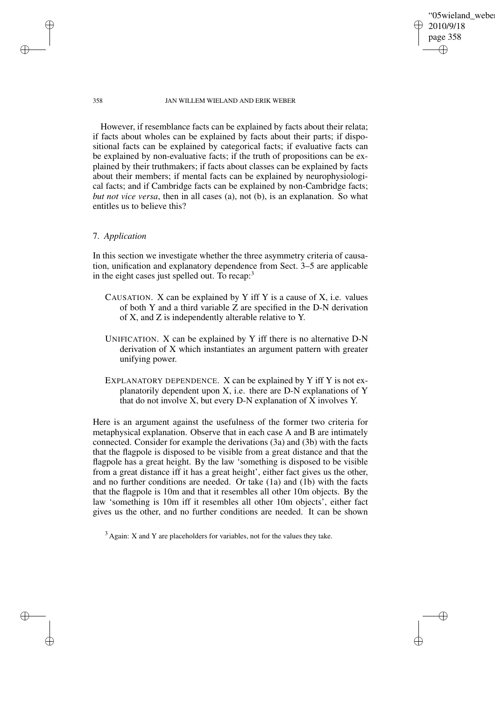'05wieland weber 2010/9/18 page 358 ✐ ✐

✐

✐

#### 358 JAN WILLEM WIELAND AND ERIK WEBER

However, if resemblance facts can be explained by facts about their relata; if facts about wholes can be explained by facts about their parts; if dispositional facts can be explained by categorical facts; if evaluative facts can be explained by non-evaluative facts; if the truth of propositions can be explained by their truthmakers; if facts about classes can be explained by facts about their members; if mental facts can be explained by neurophysiological facts; and if Cambridge facts can be explained by non-Cambridge facts; *but not vice versa*, then in all cases (a), not (b), is an explanation. So what entitles us to believe this?

### 7. *Application*

In this section we investigate whether the three asymmetry criteria of causation, unification and explanatory dependence from Sect. 3–5 are applicable in the eight cases just spelled out. To recap:<sup>3</sup>

- CAUSATION. X can be explained by Y iff Y is a cause of X, i.e. values of both Y and a third variable Z are specified in the D-N derivation of X, and Z is independently alterable relative to Y.
- UNIFICATION. X can be explained by Y iff there is no alternative D-N derivation of X which instantiates an argument pattern with greater unifying power.
- EXPLANATORY DEPENDENCE. X can be explained by Y iff Y is not explanatorily dependent upon X, i.e. there are D-N explanations of Y that do not involve X, but every D-N explanation of X involves Y.

Here is an argument against the usefulness of the former two criteria for metaphysical explanation. Observe that in each case A and B are intimately connected. Consider for example the derivations (3a) and (3b) with the facts that the flagpole is disposed to be visible from a great distance and that the flagpole has a great height. By the law 'something is disposed to be visible from a great distance iff it has a great height', either fact gives us the other, and no further conditions are needed. Or take (1a) and (1b) with the facts that the flagpole is 10m and that it resembles all other 10m objects. By the law 'something is 10m iff it resembles all other 10m objects', either fact gives us the other, and no further conditions are needed. It can be shown

✐

✐

✐

 $3$  Again: X and Y are placeholders for variables, not for the values they take.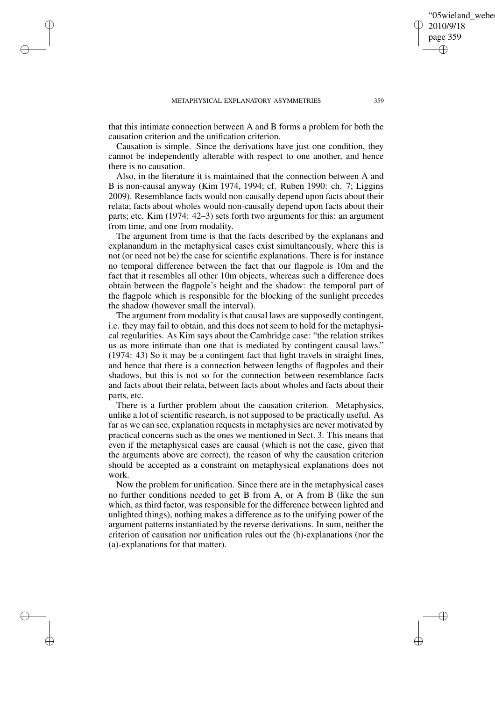✐

✐

✐

that this intimate connection between A and B forms a problem for both the causation criterion and the unification criterion.

Causation is simple. Since the derivations have just one condition, they cannot be independently alterable with respect to one another, and hence there is no causation.

Also, in the literature it is maintained that the connection between A and B is non-causal anyway (Kim 1974, 1994; cf. Ruben 1990: ch. 7; Liggins 2009). Resemblance facts would non-causally depend upon facts about their relata; facts about wholes would non-causally depend upon facts about their parts; etc. Kim (1974: 42–3) sets forth two arguments for this: an argument from time, and one from modality.

The argument from time is that the facts described by the explanans and explanandum in the metaphysical cases exist simultaneously, where this is not (or need not be) the case for scientific explanations. There is for instance no temporal difference between the fact that our flagpole is 10m and the fact that it resembles all other 10m objects, whereas such a difference does obtain between the flagpole's height and the shadow: the temporal part of the flagpole which is responsible for the blocking of the sunlight precedes the shadow (however small the interval).

The argument from modality is that causal laws are supposedly contingent, i.e. they may fail to obtain, and this does not seem to hold for the metaphysical regularities. As Kim says about the Cambridge case: "the relation strikes us as more intimate than one that is mediated by contingent causal laws." (1974: 43) So it may be a contingent fact that light travels in straight lines, and hence that there is a connection between lengths of flagpoles and their shadows, but this is not so for the connection between resemblance facts and facts about their relata, between facts about wholes and facts about their parts, etc.

There is a further problem about the causation criterion. Metaphysics, unlike a lot of scientific research, is not supposed to be practically useful. As far as we can see, explanation requests in metaphysics are never motivated by practical concerns such as the ones we mentioned in Sect. 3. This means that even if the metaphysical cases are causal (which is not the case, given that the arguments above are correct), the reason of why the causation criterion should be accepted as a constraint on metaphysical explanations does not work.

Now the problem for unification. Since there are in the metaphysical cases no further conditions needed to get B from A, or A from B (like the sun which, as third factor, was responsible for the difference between lighted and unlighted things), nothing makes a difference as to the unifying power of the argument patterns instantiated by the reverse derivations. In sum, neither the criterion of causation nor unification rules out the (b)-explanations (nor the (a)-explanations for that matter).

05wieland weber

2010/9/18 page 359

✐

✐

✐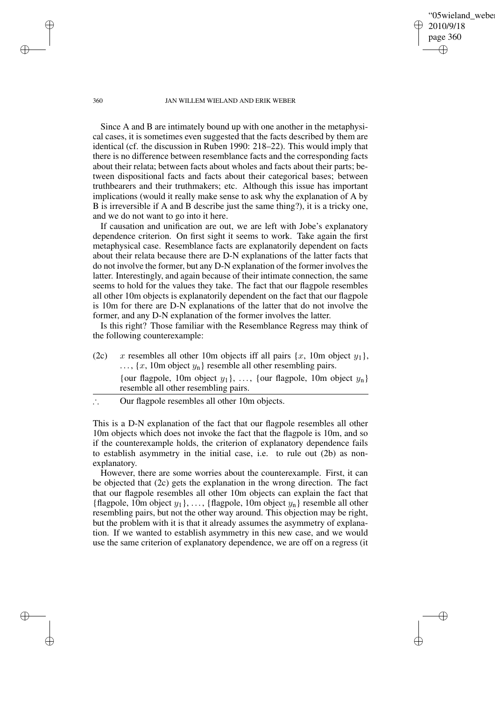05wieland weber 2010/9/18 page 360 ✐ ✐

✐

✐

#### 360 JAN WILLEM WIELAND AND ERIK WEBER

Since A and B are intimately bound up with one another in the metaphysical cases, it is sometimes even suggested that the facts described by them are identical (cf. the discussion in Ruben 1990: 218–22). This would imply that there is no difference between resemblance facts and the corresponding facts about their relata; between facts about wholes and facts about their parts; between dispositional facts and facts about their categorical bases; between truthbearers and their truthmakers; etc. Although this issue has important implications (would it really make sense to ask why the explanation of A by B is irreversible if A and B describe just the same thing?), it is a tricky one, and we do not want to go into it here.

If causation and unification are out, we are left with Jobe's explanatory dependence criterion. On first sight it seems to work. Take again the first metaphysical case. Resemblance facts are explanatorily dependent on facts about their relata because there are D-N explanations of the latter facts that do not involve the former, but any D-N explanation of the former involves the latter. Interestingly, and again because of their intimate connection, the same seems to hold for the values they take. The fact that our flagpole resembles all other 10m objects is explanatorily dependent on the fact that our flagpole is 10m for there are D-N explanations of the latter that do not involve the former, and any D-N explanation of the former involves the latter.

Is this right? Those familiar with the Resemblance Regress may think of the following counterexample:

(2c) x resembles all other 10m objects iff all pairs  $\{x, 10m$  object  $y_1\}$ ,  $\ldots$ , {x, 10m object  $y_n$ } resemble all other resembling pairs.

{our flagpole, 10m object  $y_1$ }, ..., {our flagpole, 10m object  $y_n$ } resemble all other resembling pairs.

∴ Our flagpole resembles all other 10m objects.

This is a D-N explanation of the fact that our flagpole resembles all other 10m objects which does not invoke the fact that the flagpole is 10m, and so if the counterexample holds, the criterion of explanatory dependence fails to establish asymmetry in the initial case, i.e. to rule out (2b) as nonexplanatory.

However, there are some worries about the counterexample. First, it can be objected that (2c) gets the explanation in the wrong direction. The fact that our flagpole resembles all other 10m objects can explain the fact that {flagpole, 10m object  $y_1$ }, ..., {flagpole, 10m object  $y_n$ } resemble all other resembling pairs, but not the other way around. This objection may be right, but the problem with it is that it already assumes the asymmetry of explanation. If we wanted to establish asymmetry in this new case, and we would use the same criterion of explanatory dependence, we are off on a regress (it

✐

✐

✐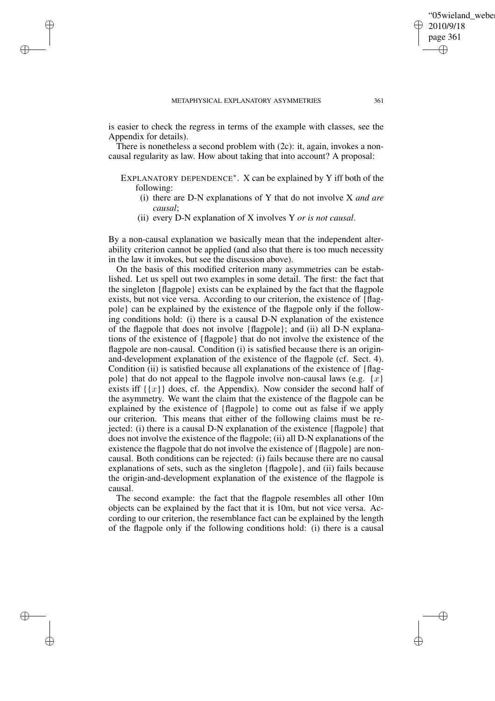✐

✐

✐

✐

✐

is easier to check the regress in terms of the example with classes, see the Appendix for details).

There is nonetheless a second problem with (2c): it, again, invokes a noncausal regularity as law. How about taking that into account? A proposal:

- EXPLANATORY DEPENDENCE<sup>\*</sup>. X can be explained by Y iff both of the following:
	- (i) there are D-N explanations of Y that do not involve X *and are causal*;
	- (ii) every D-N explanation of X involves Y *or is not causal*.

By a non-causal explanation we basically mean that the independent alterability criterion cannot be applied (and also that there is too much necessity in the law it invokes, but see the discussion above).

On the basis of this modified criterion many asymmetries can be established. Let us spell out two examples in some detail. The first: the fact that the singleton {flagpole} exists can be explained by the fact that the flagpole exists, but not vice versa. According to our criterion, the existence of {flagpole} can be explained by the existence of the flagpole only if the following conditions hold: (i) there is a causal D-N explanation of the existence of the flagpole that does not involve {flagpole}; and (ii) all D-N explanations of the existence of {flagpole} that do not involve the existence of the flagpole are non-causal. Condition (i) is satisfied because there is an originand-development explanation of the existence of the flagpole (cf. Sect. 4). Condition (ii) is satisfied because all explanations of the existence of {flagpole} that do not appeal to the flagpole involve non-causal laws (e.g.  $\{x\}$ ) exists iff  $\{\{x\}\}\)$  does, cf. the Appendix). Now consider the second half of the asymmetry. We want the claim that the existence of the flagpole can be explained by the existence of {flagpole} to come out as false if we apply our criterion. This means that either of the following claims must be rejected: (i) there is a causal D-N explanation of the existence {flagpole} that does not involve the existence of the flagpole; (ii) all D-N explanations of the existence the flagpole that do not involve the existence of {flagpole} are noncausal. Both conditions can be rejected: (i) fails because there are no causal explanations of sets, such as the singleton {flagpole}, and (ii) fails because the origin-and-development explanation of the existence of the flagpole is causal.

The second example: the fact that the flagpole resembles all other 10m objects can be explained by the fact that it is 10m, but not vice versa. According to our criterion, the resemblance fact can be explained by the length of the flagpole only if the following conditions hold: (i) there is a causal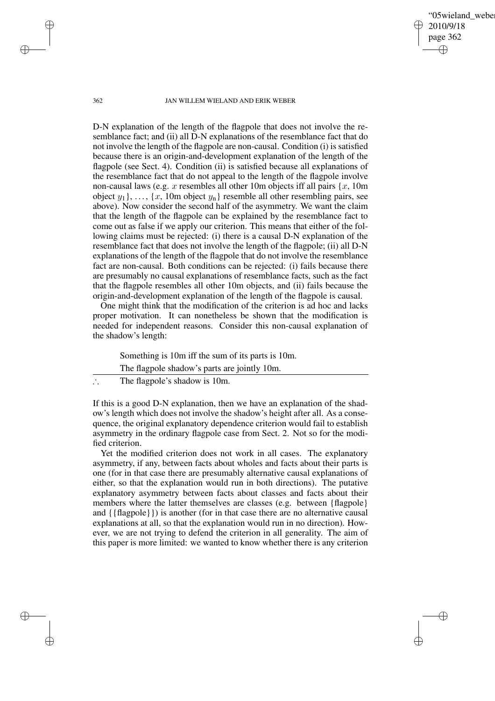05wieland weber 2010/9/18 page 362 ✐ ✐

✐

✐

#### 362 JAN WILLEM WIELAND AND ERIK WEBER

D-N explanation of the length of the flagpole that does not involve the resemblance fact; and (ii) all D-N explanations of the resemblance fact that do not involve the length of the flagpole are non-causal. Condition (i) is satisfied because there is an origin-and-development explanation of the length of the flagpole (see Sect. 4). Condition (ii) is satisfied because all explanations of the resemblance fact that do not appeal to the length of the flagpole involve non-causal laws (e.g. x resembles all other 10m objects iff all pairs  $\{x, 10m\}$ object  $y_1$ , ...,  $\{x, 10$ m object  $y_n\}$  resemble all other resembling pairs, see above). Now consider the second half of the asymmetry. We want the claim that the length of the flagpole can be explained by the resemblance fact to come out as false if we apply our criterion. This means that either of the following claims must be rejected: (i) there is a causal D-N explanation of the resemblance fact that does not involve the length of the flagpole; (ii) all D-N explanations of the length of the flagpole that do not involve the resemblance fact are non-causal. Both conditions can be rejected: (i) fails because there are presumably no causal explanations of resemblance facts, such as the fact that the flagpole resembles all other 10m objects, and (ii) fails because the origin-and-development explanation of the length of the flagpole is causal.

One might think that the modification of the criterion is ad hoc and lacks proper motivation. It can nonetheless be shown that the modification is needed for independent reasons. Consider this non-causal explanation of the shadow's length:

Something is 10m iff the sum of its parts is 10m. The flagpole shadow's parts are jointly 10m.

∴ The flagpole's shadow is 10m.

If this is a good D-N explanation, then we have an explanation of the shadow's length which does not involve the shadow's height after all. As a consequence, the original explanatory dependence criterion would fail to establish asymmetry in the ordinary flagpole case from Sect. 2. Not so for the modified criterion.

Yet the modified criterion does not work in all cases. The explanatory asymmetry, if any, between facts about wholes and facts about their parts is one (for in that case there are presumably alternative causal explanations of either, so that the explanation would run in both directions). The putative explanatory asymmetry between facts about classes and facts about their members where the latter themselves are classes (e.g. between {flagpole} and {{flagpole}}) is another (for in that case there are no alternative causal explanations at all, so that the explanation would run in no direction). However, we are not trying to defend the criterion in all generality. The aim of this paper is more limited: we wanted to know whether there is any criterion

✐

✐

✐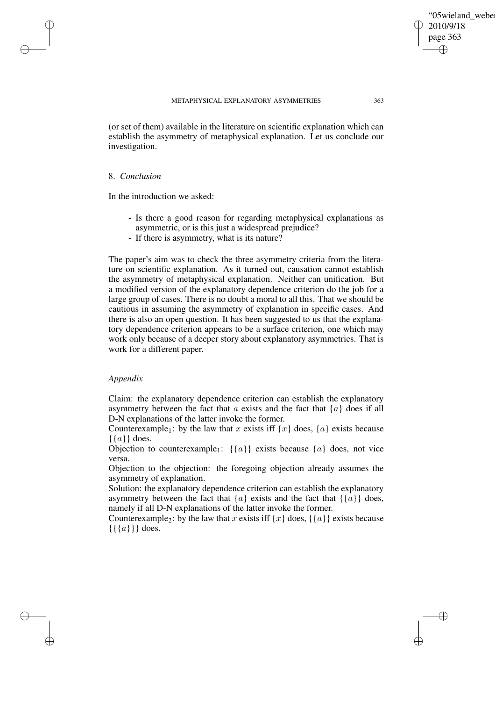✐

(or set of them) available in the literature on scientific explanation which can establish the asymmetry of metaphysical explanation. Let us conclude our investigation.

### 8. *Conclusion*

✐

✐

✐

✐

In the introduction we asked:

- Is there a good reason for regarding metaphysical explanations as asymmetric, or is this just a widespread prejudice?
- If there is asymmetry, what is its nature?

The paper's aim was to check the three asymmetry criteria from the literature on scientific explanation. As it turned out, causation cannot establish the asymmetry of metaphysical explanation. Neither can unification. But a modified version of the explanatory dependence criterion do the job for a large group of cases. There is no doubt a moral to all this. That we should be cautious in assuming the asymmetry of explanation in specific cases. And there is also an open question. It has been suggested to us that the explanatory dependence criterion appears to be a surface criterion, one which may work only because of a deeper story about explanatory asymmetries. That is work for a different paper.

## *Appendix*

Claim: the explanatory dependence criterion can establish the explanatory asymmetry between the fact that a exists and the fact that  $\{a\}$  does if all D-N explanations of the latter invoke the former.

Counterexample<sub>1</sub>: by the law that x exists iff  $\{x\}$  does,  $\{a\}$  exists because  $\{\{a\}\}\$  does.

Objection to counterexample<sub>1</sub>:  $\{\{a\}\}$  exists because  $\{a\}$  does, not vice versa.

Objection to the objection: the foregoing objection already assumes the asymmetry of explanation.

Solution: the explanatory dependence criterion can establish the explanatory asymmetry between the fact that  ${a}$  exists and the fact that  ${a}$  does, namely if all D-N explanations of the latter invoke the former.

Counterexample<sub>2</sub>: by the law that x exists iff  $\{x\}$  does,  $\{\{a\}\}$  exists because  $\{\{\{a\}\}\}\$  does.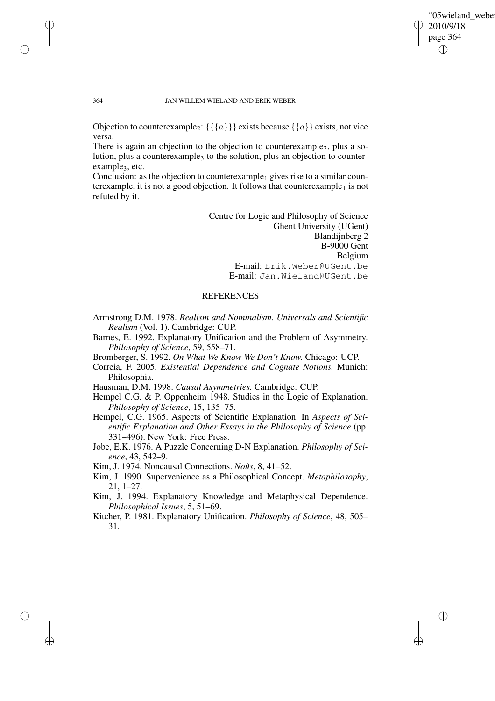✐

#### 364 JAN WILLEM WIELAND AND ERIK WEBER

Objection to counterexample<sub>2</sub>: {{ $\{a\}$ } exists because { $\{a\}$ } exists, not vice versa.

There is again an objection to the objection to counterexample<sub>2</sub>, plus a solution, plus a counterexample<sub>3</sub> to the solution, plus an objection to counter $example_3, etc.$ 

Conclusion: as the objection to counterexample<sub>1</sub> gives rise to a similar counterexample, it is not a good objection. It follows that counterexample<sub>1</sub> is not refuted by it.

> Centre for Logic and Philosophy of Science Ghent University (UGent) Blandijnberg 2 B-9000 Gent Belgium E-mail: Erik.Weber@UGent.be E-mail: Jan.Wieland@UGent.be

# **REFERENCES**

- Armstrong D.M. 1978. *Realism and Nominalism. Universals and Scientific Realism* (Vol. 1). Cambridge: CUP.
- Barnes, E. 1992. Explanatory Unification and the Problem of Asymmetry. *Philosophy of Science*, 59, 558–71.
- Bromberger, S. 1992. *On What We Know We Don't Know.* Chicago: UCP.
- Correia, F. 2005. *Existential Dependence and Cognate Notions.* Munich: Philosophia.
- Hausman, D.M. 1998. *Causal Asymmetries.* Cambridge: CUP.
- Hempel C.G. & P. Oppenheim 1948. Studies in the Logic of Explanation. *Philosophy of Science*, 15, 135–75.
- Hempel, C.G. 1965. Aspects of Scientific Explanation. In *Aspects of Scientific Explanation and Other Essays in the Philosophy of Science* (pp. 331–496). New York: Free Press.

Jobe, E.K. 1976. A Puzzle Concerning D-N Explanation. *Philosophy of Science*, 43, 542–9.

Kim, J. 1974. Noncausal Connections. *Noûs*, 8, 41–52.

- Kim, J. 1990. Supervenience as a Philosophical Concept. *Metaphilosophy*, 21, 1–27.
- Kim, J. 1994. Explanatory Knowledge and Metaphysical Dependence. *Philosophical Issues*, 5, 51–69.
- Kitcher, P. 1981. Explanatory Unification. *Philosophy of Science*, 48, 505– 31.

✐

✐

✐